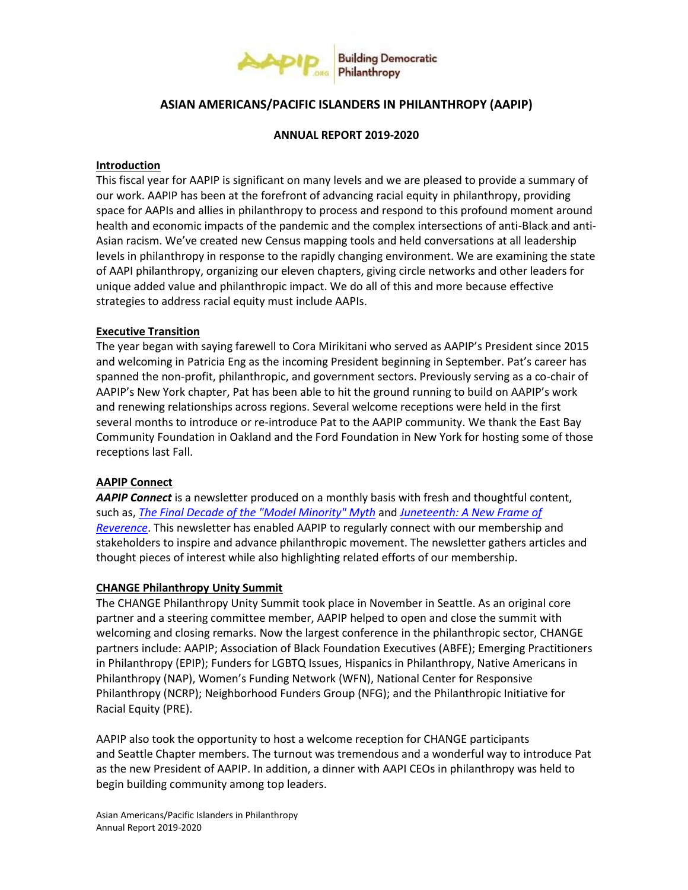

# **ASIAN AMERICANS/PACIFIC ISLANDERS IN PHILANTHROPY (AAPIP)**

#### **ANNUAL REPORT 2019-2020**

#### **Introduction**

This fiscal year for AAPIP is significant on many levels and we are pleased to provide a summary of our work. AAPIP has been at the forefront of advancing racial equity in philanthropy, providing space for AAPIs and allies in philanthropy to process and respond to this profound moment around health and economic impacts of the pandemic and the complex intersections of anti-Black and anti-Asian racism. We've created new Census mapping tools and held conversations at all leadership levels in philanthropy in response to the rapidly changing environment. We are examining the state of AAPI philanthropy, organizing our eleven chapters, giving circle networks and other leaders for unique added value and philanthropic impact. We do all of this and more because effective strategies to address racial equity must include AAPIs.

### **Executive Transition**

The year began with saying farewell to Cora Mirikitani who served as AAPIP's President since 2015 and welcoming in Patricia Eng as the incoming President beginning in September. Pat's career has spanned the non-profit, philanthropic, and government sectors. Previously serving as a co-chair of AAPIP's New York chapter, Pat has been able to hit the ground running to build on AAPIP's work and renewing relationships across regions. Several welcome receptions were held in the first several months to introduce or re-introduce Pat to the AAPIP community. We thank the East Bay Community Foundation in Oakland and the Ford Foundation in New York for hosting some of those receptions last Fall.

## **AAPIP Connect**

*AAPIP Connect* is a newsletter produced on a monthly basis with fresh and thoughtful content, such as, *[The Final Decade of the "Model Minority" Myth](https://aapip.org/our-stories/2020-the-final-decade-of-the-model-minority-myth-a-perspective-from-brandon-hadi-aapip-s)* and *[Juneteenth: A New Frame of](https://aapip.org/our-stories/juneteenth-a-new-frame-of-reverence)  [Reverence](https://aapip.org/our-stories/juneteenth-a-new-frame-of-reverence)*. This newsletter has enabled AAPIP to regularly connect with our membership and stakeholders to inspire and advance philanthropic movement. The newsletter gathers articles and thought pieces of interest while also highlighting related efforts of our membership.

#### **CHANGE Philanthropy Unity Summit**

The CHANGE Philanthropy Unity Summit took place in November in Seattle. As an original core partner and a steering committee member, AAPIP helped to open and close the summit with welcoming and closing remarks. Now the largest conference in the philanthropic sector, CHANGE partners include: AAPIP; Association of Black Foundation Executives (ABFE); Emerging Practitioners in Philanthropy (EPIP); Funders for LGBTQ Issues, Hispanics in Philanthropy, Native Americans in Philanthropy (NAP), Women's Funding Network (WFN), National Center for Responsive Philanthropy (NCRP); Neighborhood Funders Group (NFG); and the Philanthropic Initiative for Racial Equity (PRE).

AAPIP also took the opportunity to host a welcome reception for CHANGE participants and Seattle Chapter members. The turnout was tremendous and a wonderful way to introduce Pat as the new President of AAPIP. In addition, a dinner with AAPI CEOs in philanthropy was held to begin building community among top leaders.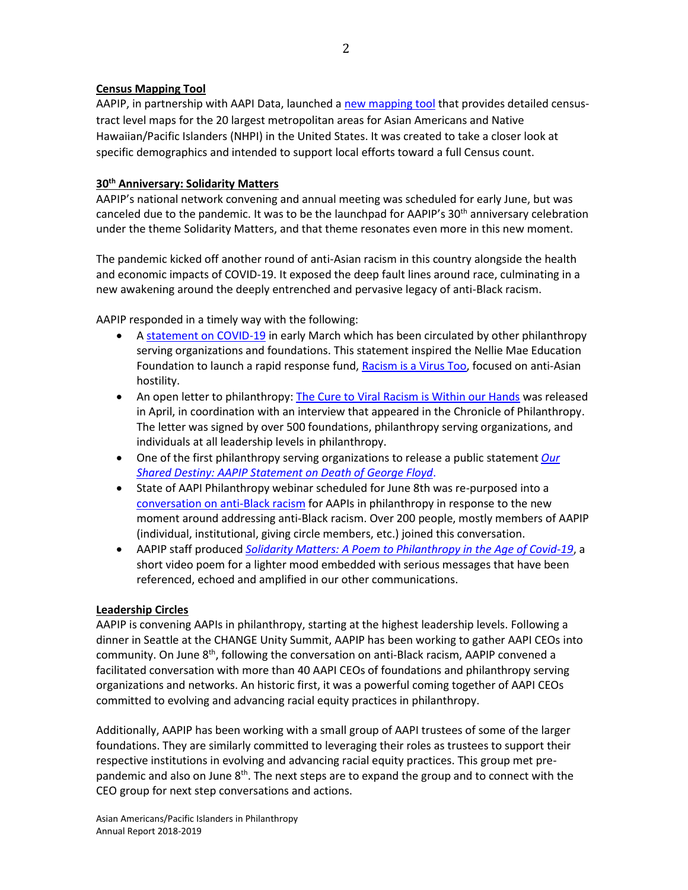# **Census Mapping Tool**

AAPIP, in partnership with AAPI Data, launched [a new mapping tool](https://aapip.org/what-we-do/2020-census) that provides detailed censustract level maps for the 20 largest metropolitan areas for Asian Americans and Native Hawaiian/Pacific Islanders (NHPI) in the United States. It was created to take a closer look at specific demographics and intended to support local efforts toward a full Census count.

# **30th Anniversary: Solidarity Matters**

AAPIP's national network convening and annual meeting was scheduled for early June, but was canceled due to the pandemic. It was to be the launchpad for AAPIP's 30<sup>th</sup> anniversary celebration under the theme Solidarity Matters, and that theme resonates even more in this new moment.

The pandemic kicked off another round of anti-Asian racism in this country alongside the health and economic impacts of COVID-19. It exposed the deep fault lines around race, culminating in a new awakening around the deeply entrenched and pervasive legacy of anti-Black racism.

AAPIP responded in a timely way with the following:

- A [statement on COVID-19](https://aapip.org/our-stories/aapip-statement-on-covid-19) in early March which has been circulated by other philanthropy serving organizations and foundations. This statement inspired the Nellie Mae Education Foundation to launch a rapid response fund, [Racism is a Virus Too,](https://files.constantcontact.com/a642c85f701/b9e2e85e-e81e-4917-aee4-d893bcdb5c8a.pdf) focused on anti-Asian hostility.
- An open letter to philanthropy[: The Cure to Viral Racism is Within our Hands](https://aapip.org/our-stories/open-letter-to-philanthropy-the-cure-to-viral-racism-is-within-our-hands) was released in April, in coordination with an interview that appeared in the Chronicle of Philanthropy. The letter was signed by over 500 foundations, philanthropy serving organizations, and individuals at all leadership levels in philanthropy.
- One of the first philanthropy serving organizations to release a public statement *[Our](https://aapip.org/our-stories/our-shared-destiny-aapip-statement-on-death-of-george-floyd)  [Shared Destiny: AAPIP Statement on Death of George Floyd](https://aapip.org/our-stories/our-shared-destiny-aapip-statement-on-death-of-george-floyd)*.
- State of AAPI Philanthropy webinar scheduled for June 8th was re-purposed into a [conversation on anti-Black racism](https://aapip.org/our-stories/recording-the-state-of-aapi-philanthropy-a-conversation-about-anti-black-racism) for AAPIs in philanthropy in response to the new moment around addressing anti-Black racism. Over 200 people, mostly members of AAPIP (individual, institutional, giving circle members, etc.) joined this conversation.
- AAPIP staff produced *[Solidarity Matters: A Poem to Philanthropy in the Age of Covid-19](https://aapip.org/our-stories/solidarity-matters-a-poem-to-philanthropy-in-the-age-of-covid-19)*, a short video poem for a lighter mood embedded with serious messages that have been referenced, echoed and amplified in our other communications.

# **Leadership Circles**

AAPIP is convening AAPIs in philanthropy, starting at the highest leadership levels. Following a dinner in Seattle at the CHANGE Unity Summit, AAPIP has been working to gather AAPI CEOs into community. On June 8<sup>th</sup>, following the conversation on anti-Black racism, AAPIP convened a facilitated conversation with more than 40 AAPI CEOs of foundations and philanthropy serving organizations and networks. An historic first, it was a powerful coming together of AAPI CEOs committed to evolving and advancing racial equity practices in philanthropy.

Additionally, AAPIP has been working with a small group of AAPI trustees of some of the larger foundations. They are similarly committed to leveraging their roles as trustees to support their respective institutions in evolving and advancing racial equity practices. This group met prepandemic and also on June  $8<sup>th</sup>$ . The next steps are to expand the group and to connect with the CEO group for next step conversations and actions.